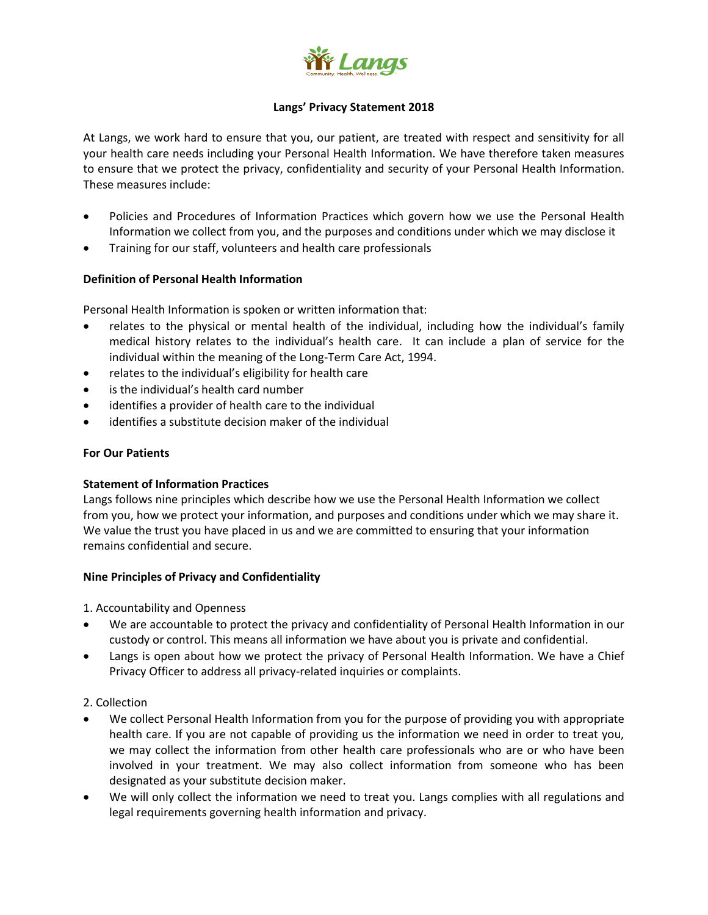

## **Langs' Privacy Statement 2018**

At Langs, we work hard to ensure that you, our patient, are treated with respect and sensitivity for all your health care needs including your Personal Health Information. We have therefore taken measures to ensure that we protect the privacy, confidentiality and security of your Personal Health Information. These measures include:

- Policies and Procedures of Information Practices which govern how we use the Personal Health Information we collect from you, and the purposes and conditions under which we may disclose it
- Training for our staff, volunteers and health care professionals

## **Definition of Personal Health Information**

Personal Health Information is spoken or written information that:

- relates to the physical or mental health of the individual, including how the individual's family medical history relates to the individual's health care. It can include a plan of service for the individual within the meaning of the Long-Term Care Act, 1994.
- relates to the individual's eligibility for health care
- is the individual's health card number
- identifies a provider of health care to the individual
- identifies a substitute decision maker of the individual

#### **For Our Patients**

### **Statement of Information Practices**

Langs follows nine principles which describe how we use the Personal Health Information we collect from you, how we protect your information, and purposes and conditions under which we may share it. We value the trust you have placed in us and we are committed to ensuring that your information remains confidential and secure.

### **Nine Principles of Privacy and Confidentiality**

- 1. Accountability and Openness
- We are accountable to protect the privacy and confidentiality of Personal Health Information in our custody or control. This means all information we have about you is private and confidential.
- Langs is open about how we protect the privacy of Personal Health Information. We have a Chief Privacy Officer to address all privacy-related inquiries or complaints.
- 2. Collection
- We collect Personal Health Information from you for the purpose of providing you with appropriate health care. If you are not capable of providing us the information we need in order to treat you, we may collect the information from other health care professionals who are or who have been involved in your treatment. We may also collect information from someone who has been designated as your substitute decision maker.
- We will only collect the information we need to treat you. Langs complies with all regulations and legal requirements governing health information and privacy.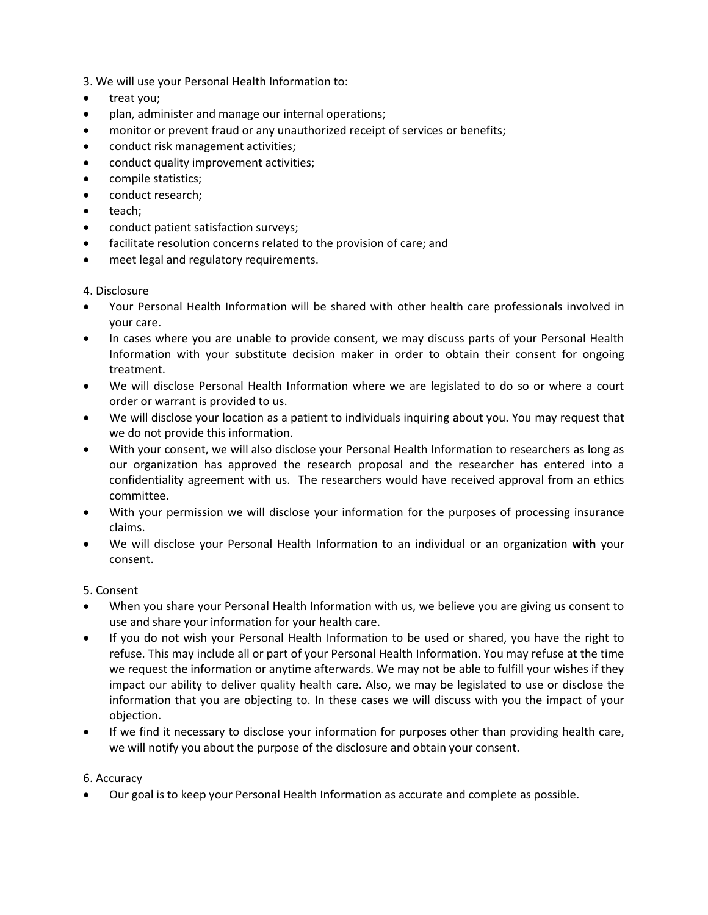3. We will use your Personal Health Information to:

- treat you;
- plan, administer and manage our internal operations;
- monitor or prevent fraud or any unauthorized receipt of services or benefits;
- conduct risk management activities;
- conduct quality improvement activities;
- compile statistics;
- conduct research;
- teach;
- conduct patient satisfaction surveys;
- facilitate resolution concerns related to the provision of care; and
- meet legal and regulatory requirements.

### 4. Disclosure

- Your Personal Health Information will be shared with other health care professionals involved in your care.
- In cases where you are unable to provide consent, we may discuss parts of your Personal Health Information with your substitute decision maker in order to obtain their consent for ongoing treatment.
- We will disclose Personal Health Information where we are legislated to do so or where a court order or warrant is provided to us.
- We will disclose your location as a patient to individuals inquiring about you. You may request that we do not provide this information.
- With your consent, we will also disclose your Personal Health Information to researchers as long as our organization has approved the research proposal and the researcher has entered into a confidentiality agreement with us. The researchers would have received approval from an ethics committee.
- With your permission we will disclose your information for the purposes of processing insurance claims.
- We will disclose your Personal Health Information to an individual or an organization **with** your consent.

### 5. Consent

- When you share your Personal Health Information with us, we believe you are giving us consent to use and share your information for your health care.
- If you do not wish your Personal Health Information to be used or shared, you have the right to refuse. This may include all or part of your Personal Health Information. You may refuse at the time we request the information or anytime afterwards. We may not be able to fulfill your wishes if they impact our ability to deliver quality health care. Also, we may be legislated to use or disclose the information that you are objecting to. In these cases we will discuss with you the impact of your objection.
- If we find it necessary to disclose your information for purposes other than providing health care, we will notify you about the purpose of the disclosure and obtain your consent.

### 6. Accuracy

Our goal is to keep your Personal Health Information as accurate and complete as possible.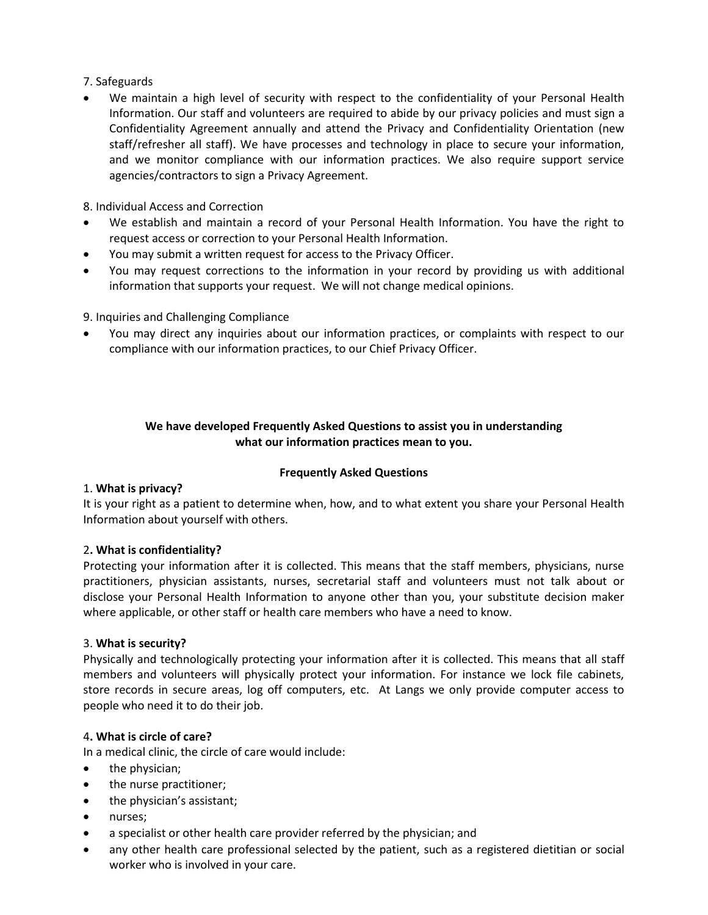# 7. Safeguards

We maintain a high level of security with respect to the confidentiality of your Personal Health Information. Our staff and volunteers are required to abide by our privacy policies and must sign a Confidentiality Agreement annually and attend the Privacy and Confidentiality Orientation (new staff/refresher all staff). We have processes and technology in place to secure your information, and we monitor compliance with our information practices. We also require support service agencies/contractors to sign a Privacy Agreement.

8. Individual Access and Correction

- We establish and maintain a record of your Personal Health Information. You have the right to request access or correction to your Personal Health Information.
- You may submit a written request for access to the Privacy Officer.
- You may request corrections to the information in your record by providing us with additional information that supports your request. We will not change medical opinions.

9. Inquiries and Challenging Compliance

 You may direct any inquiries about our information practices, or complaints with respect to our compliance with our information practices, to our Chief Privacy Officer.

# **We have developed Frequently Asked Questions to assist you in understanding what our information practices mean to you.**

### **Frequently Asked Questions**

### 1. **What is privacy?**

It is your right as a patient to determine when, how, and to what extent you share your Personal Health Information about yourself with others.

### 2**. What is confidentiality?**

Protecting your information after it is collected. This means that the staff members, physicians, nurse practitioners, physician assistants, nurses, secretarial staff and volunteers must not talk about or disclose your Personal Health Information to anyone other than you, your substitute decision maker where applicable, or other staff or health care members who have a need to know.

### 3. **What is security?**

Physically and technologically protecting your information after it is collected. This means that all staff members and volunteers will physically protect your information. For instance we lock file cabinets, store records in secure areas, log off computers, etc. At Langs we only provide computer access to people who need it to do their job.

### 4**. What is circle of care?**

In a medical clinic, the circle of care would include:

- the physician;
- the nurse practitioner;
- the physician's assistant;
- nurses;
- a specialist or other health care provider referred by the physician; and
- any other health care professional selected by the patient, such as a registered dietitian or social worker who is involved in your care.